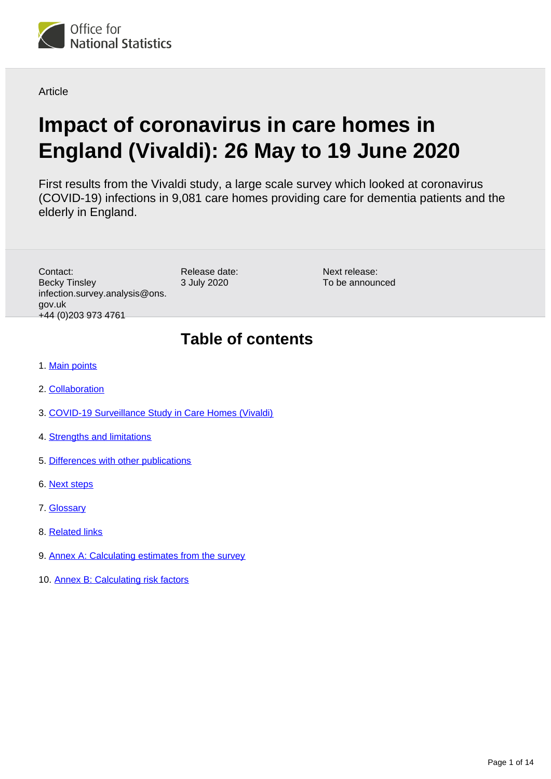

**Article** 

# **Impact of coronavirus in care homes in England (Vivaldi): 26 May to 19 June 2020**

First results from the Vivaldi study, a large scale survey which looked at coronavirus (COVID-19) infections in 9,081 care homes providing care for dementia patients and the elderly in England.

Contact: Becky Tinsley infection.survey.analysis@ons. gov.uk +44 (0)203 973 4761

Release date: 3 July 2020

Next release: To be announced

## **Table of contents**

- 1. [Main points](#page-1-0)
- 2. [Collaboration](#page-2-0)
- 3. [COVID-19 Surveillance Study in Care Homes \(Vivaldi\)](#page-2-1)
- 4. [Strengths and limitations](#page-7-0)
- 5. [Differences with other publications](#page-9-0)
- 6. [Next steps](#page-10-0)
- 7. [Glossary](#page-11-0)
- 8. [Related links](#page-11-1)
- 9. [Annex A: Calculating estimates from the survey](#page-11-2)
- 10. [Annex B: Calculating risk factors](#page-13-0)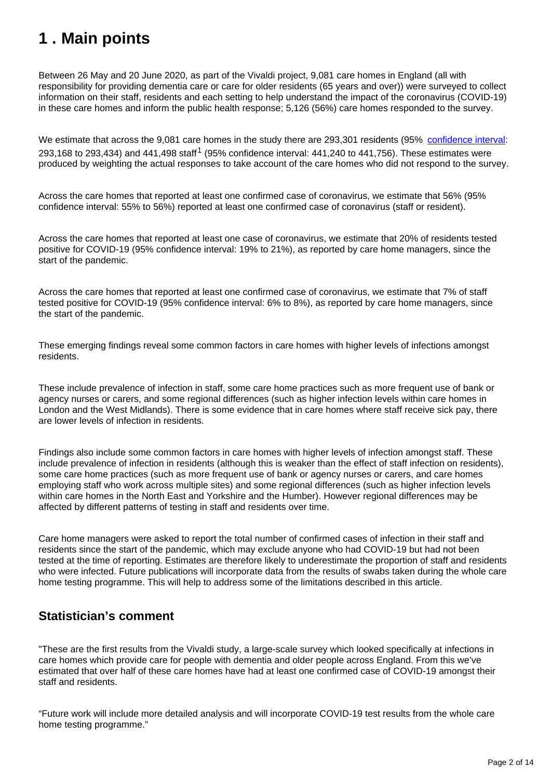## <span id="page-1-0"></span>**1 . Main points**

Between 26 May and 20 June 2020, as part of the Vivaldi project, 9,081 care homes in England (all with responsibility for providing dementia care or care for older residents (65 years and over)) were surveyed to collect information on their staff, residents and each setting to help understand the impact of the coronavirus (COVID-19) in these care homes and inform the public health response; 5,126 (56%) care homes responded to the survey.

We estimate that across the 9,081 care homes in the study there are 293,301 residents (95% [confidence interval](https://www.ons.gov.uk/methodology/methodologytopicsandstatisticalconcepts/uncertaintyandhowwemeasureit#confidence-interval): 293,168 to 293,434) and 441,498 staff<sup>1</sup> (95% confidence interval: 441,240 to 441,756). These estimates were produced by weighting the actual responses to take account of the care homes who did not respond to the survey.

Across the care homes that reported at least one confirmed case of coronavirus, we estimate that 56% (95% confidence interval: 55% to 56%) reported at least one confirmed case of coronavirus (staff or resident).

Across the care homes that reported at least one case of coronavirus, we estimate that 20% of residents tested positive for COVID-19 (95% confidence interval: 19% to 21%), as reported by care home managers, since the start of the pandemic.

Across the care homes that reported at least one confirmed case of coronavirus, we estimate that 7% of staff tested positive for COVID-19 (95% confidence interval: 6% to 8%), as reported by care home managers, since the start of the pandemic.

These emerging findings reveal some common factors in care homes with higher levels of infections amongst residents.

These include prevalence of infection in staff, some care home practices such as more frequent use of bank or agency nurses or carers, and some regional differences (such as higher infection levels within care homes in London and the West Midlands). There is some evidence that in care homes where staff receive sick pay, there are lower levels of infection in residents.

Findings also include some common factors in care homes with higher levels of infection amongst staff. These include prevalence of infection in residents (although this is weaker than the effect of staff infection on residents), some care home practices (such as more frequent use of bank or agency nurses or carers, and care homes employing staff who work across multiple sites) and some regional differences (such as higher infection levels within care homes in the North East and Yorkshire and the Humber). However regional differences may be affected by different patterns of testing in staff and residents over time.

Care home managers were asked to report the total number of confirmed cases of infection in their staff and residents since the start of the pandemic, which may exclude anyone who had COVID-19 but had not been tested at the time of reporting. Estimates are therefore likely to underestimate the proportion of staff and residents who were infected. Future publications will incorporate data from the results of swabs taken during the whole care home testing programme. This will help to address some of the limitations described in this article.

### **Statistician's comment**

"These are the first results from the Vivaldi study, a large-scale survey which looked specifically at infections in care homes which provide care for people with dementia and older people across England. From this we've estimated that over half of these care homes have had at least one confirmed case of COVID-19 amongst their staff and residents.

"Future work will include more detailed analysis and will incorporate COVID-19 test results from the whole care home testing programme."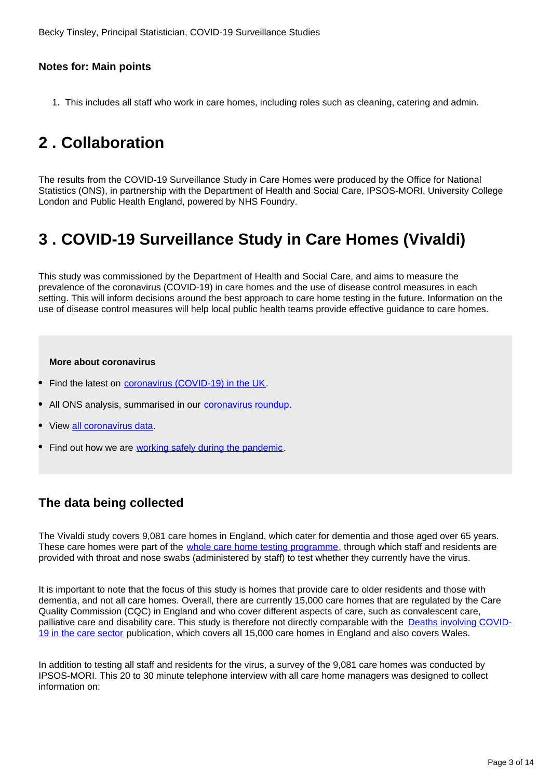#### **Notes for: Main points**

1. This includes all staff who work in care homes, including roles such as cleaning, catering and admin.

## <span id="page-2-0"></span>**2 . Collaboration**

The results from the COVID-19 Surveillance Study in Care Homes were produced by the Office for National Statistics (ONS), in partnership with the Department of Health and Social Care, IPSOS-MORI, University College London and Public Health England, powered by NHS Foundry.

## <span id="page-2-1"></span>**3 . COVID-19 Surveillance Study in Care Homes (Vivaldi)**

This study was commissioned by the Department of Health and Social Care, and aims to measure the prevalence of the coronavirus (COVID-19) in care homes and the use of disease control measures in each setting. This will inform decisions around the best approach to care home testing in the future. Information on the use of disease control measures will help local public health teams provide effective guidance to care homes.

#### **More about coronavirus**

- Find the latest on *coronavirus (COVID-19)* in the UK.
- All ONS analysis, summarised in our [coronavirus roundup.](https://www.ons.gov.uk/peoplepopulationandcommunity/healthandsocialcare/conditionsanddiseases/articles/coronaviruscovid19roundup/latest)
- View [all coronavirus data.](https://www.ons.gov.uk/peoplepopulationandcommunity/healthandsocialcare/conditionsanddiseases/datalist)
- Find out how we are [working safely during the pandemic](https://www.ons.gov.uk/news/statementsandletters/ensuringyoursafetyduringcovid19).

## **The data being collected**

The Vivaldi study covers 9,081 care homes in England, which cater for dementia and those aged over 65 years. These care homes were part of the *[whole care home testing programme](https://www.gov.uk/government/news/government-launches-new-portal-for-care-homes-to-arrange-coronavirus-testing)*, through which staff and residents are provided with throat and nose swabs (administered by staff) to test whether they currently have the virus.

It is important to note that the focus of this study is homes that provide care to older residents and those with dementia, and not all care homes. Overall, there are currently 15,000 care homes that are regulated by the Care Quality Commission (CQC) in England and who cover different aspects of care, such as convalescent care, palliative care and disability care. This study is therefore not directly comparable with the [Deaths involving COVID-](https://www.ons.gov.uk/peoplepopulationandcommunity/birthsdeathsandmarriages/deaths/articles/deathsinvolvingcovid19inthecaresectorenglandandwales/deathsoccurringupto1may2020andregisteredupto9may2020provisional)[19 in the care sector](https://www.ons.gov.uk/peoplepopulationandcommunity/birthsdeathsandmarriages/deaths/articles/deathsinvolvingcovid19inthecaresectorenglandandwales/deathsoccurringupto1may2020andregisteredupto9may2020provisional) publication, which covers all 15,000 care homes in England and also covers Wales.

In addition to testing all staff and residents for the virus, a survey of the 9,081 care homes was conducted by IPSOS-MORI. This 20 to 30 minute telephone interview with all care home managers was designed to collect information on: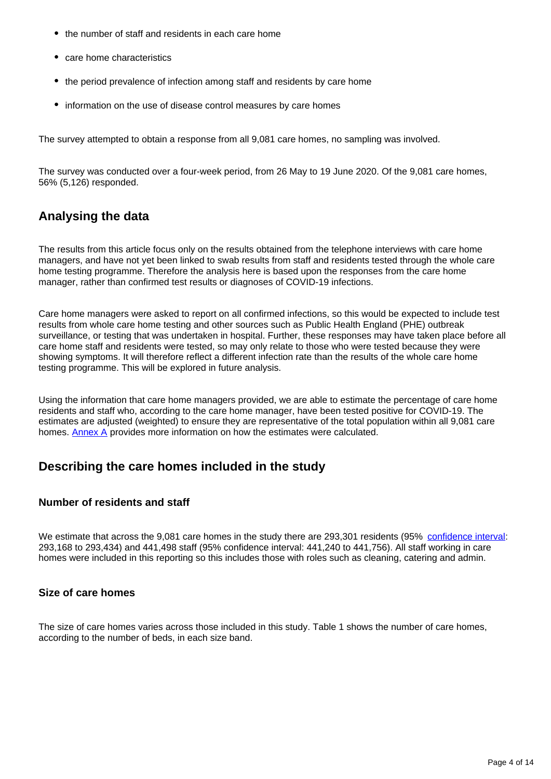- the number of staff and residents in each care home
- care home characteristics
- the period prevalence of infection among staff and residents by care home
- information on the use of disease control measures by care homes

The survey attempted to obtain a response from all 9,081 care homes, no sampling was involved.

The survey was conducted over a four-week period, from 26 May to 19 June 2020. Of the 9,081 care homes, 56% (5,126) responded.

## **Analysing the data**

The results from this article focus only on the results obtained from the telephone interviews with care home managers, and have not yet been linked to swab results from staff and residents tested through the whole care home testing programme. Therefore the analysis here is based upon the responses from the care home manager, rather than confirmed test results or diagnoses of COVID-19 infections.

Care home managers were asked to report on all confirmed infections, so this would be expected to include test results from whole care home testing and other sources such as Public Health England (PHE) outbreak surveillance, or testing that was undertaken in hospital. Further, these responses may have taken place before all care home staff and residents were tested, so may only relate to those who were tested because they were showing symptoms. It will therefore reflect a different infection rate than the results of the whole care home testing programme. This will be explored in future analysis.

Using the information that care home managers provided, we are able to estimate the percentage of care home residents and staff who, according to the care home manager, have been tested positive for COVID-19. The estimates are adjusted (weighted) to ensure they are representative of the total population within all 9,081 care homes. [Annex A](https://www.ons.gov.uk/peoplepopulationandcommunity/healthandsocialcare/conditionsanddiseases/articles/impactofcoronavirusincarehomesinenglandvivaldi/26mayto19june2020#annex-a-calculating-estimates-from-the-survey) provides more information on how the estimates were calculated.

### **Describing the care homes included in the study**

#### **Number of residents and staff**

We estimate that across the 9,081 care homes in the study there are 293,301 residents (95% [confidence interval](https://www.ons.gov.uk/methodology/methodologytopicsandstatisticalconcepts/uncertaintyandhowwemeasureit#confidence-interval): 293,168 to 293,434) and 441,498 staff (95% confidence interval: 441,240 to 441,756). All staff working in care homes were included in this reporting so this includes those with roles such as cleaning, catering and admin.

#### **Size of care homes**

The size of care homes varies across those included in this study. Table 1 shows the number of care homes, according to the number of beds, in each size band.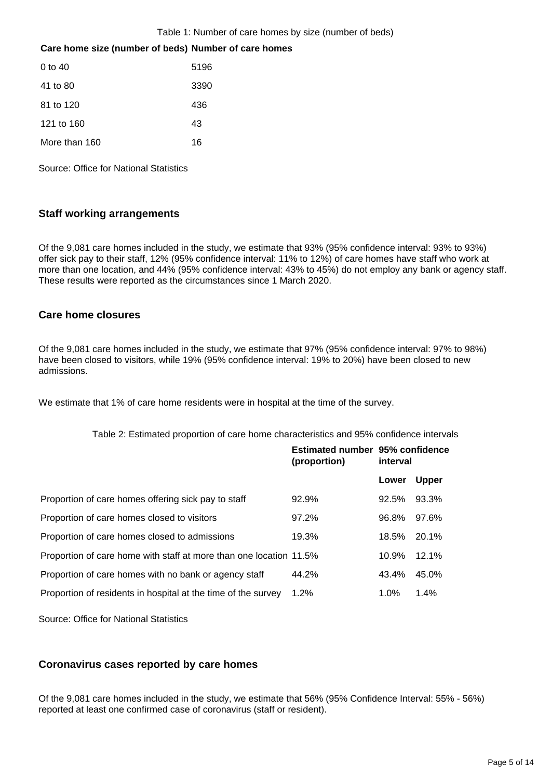#### Table 1: Number of care homes by size (number of beds)

#### **Care home size (number of beds) Number of care homes**

| $0 \text{ to } 40$ | 5196 |
|--------------------|------|
| 41 to 80           | 3390 |
| 81 to 120          | 436  |
| 121 to 160         | 43   |
| More than 160      | 16   |

Source: Office for National Statistics

#### **Staff working arrangements**

Of the 9,081 care homes included in the study, we estimate that 93% (95% confidence interval: 93% to 93%) offer sick pay to their staff, 12% (95% confidence interval: 11% to 12%) of care homes have staff who work at more than one location, and 44% (95% confidence interval: 43% to 45%) do not employ any bank or agency staff. These results were reported as the circumstances since 1 March 2020.

#### **Care home closures**

Of the 9,081 care homes included in the study, we estimate that 97% (95% confidence interval: 97% to 98%) have been closed to visitors, while 19% (95% confidence interval: 19% to 20%) have been closed to new admissions.

We estimate that 1% of care home residents were in hospital at the time of the survey.

|  |  |  |  |  | Table 2: Estimated proportion of care home characteristics and 95% confidence intervals |
|--|--|--|--|--|-----------------------------------------------------------------------------------------|
|--|--|--|--|--|-----------------------------------------------------------------------------------------|

|                                                                    | Estimated number 95% confidence<br>(proportion) | interval |              |
|--------------------------------------------------------------------|-------------------------------------------------|----------|--------------|
|                                                                    |                                                 | Lower    | <b>Upper</b> |
| Proportion of care homes offering sick pay to staff                | 92.9%                                           | 92.5%    | 93.3%        |
| Proportion of care homes closed to visitors                        | 97.2%                                           | 96.8%    | 97.6%        |
| Proportion of care homes closed to admissions                      | 19.3%                                           | 18.5%    | $20.1\%$     |
| Proportion of care home with staff at more than one location 11.5% |                                                 | 10.9%    | 12.1%        |
| Proportion of care homes with no bank or agency staff              | 44.2%                                           | 43.4%    | 45.0%        |
| Proportion of residents in hospital at the time of the survey      | 1.2%                                            | $1.0\%$  | 1.4%         |

Source: Office for National Statistics

#### **Coronavirus cases reported by care homes**

Of the 9,081 care homes included in the study, we estimate that 56% (95% Confidence Interval: 55% - 56%) reported at least one confirmed case of coronavirus (staff or resident).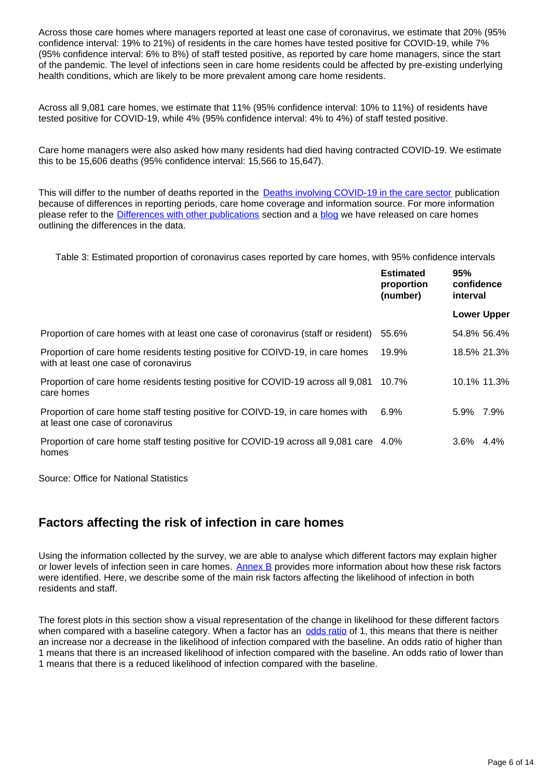Across those care homes where managers reported at least one case of coronavirus, we estimate that 20% (95% confidence interval: 19% to 21%) of residents in the care homes have tested positive for COVID-19, while 7% (95% confidence interval: 6% to 8%) of staff tested positive, as reported by care home managers, since the start of the pandemic. The level of infections seen in care home residents could be affected by pre-existing underlying health conditions, which are likely to be more prevalent among care home residents.

Across all 9,081 care homes, we estimate that 11% (95% confidence interval: 10% to 11%) of residents have tested positive for COVID-19, while 4% (95% confidence interval: 4% to 4%) of staff tested positive.

Care home managers were also asked how many residents had died having contracted COVID-19. We estimate this to be 15,606 deaths (95% confidence interval: 15,566 to 15,647).

This will differ to the number of deaths reported in the **Deaths involving COVID-19 in the care sector** publication because of differences in reporting periods, care home coverage and information source. For more information please refer to the **Differences with other publications** section and a **blog** we have released on care homes outlining the differences in the data.

Table 3: Estimated proportion of coronavirus cases reported by care homes, with 95% confidence intervals

|                                                                                                                         | <b>Estimated</b><br>proportion<br>(number) | 95%<br>confidence<br>interval |         |
|-------------------------------------------------------------------------------------------------------------------------|--------------------------------------------|-------------------------------|---------|
|                                                                                                                         |                                            | <b>Lower Upper</b>            |         |
| Proportion of care homes with at least one case of coronavirus (staff or resident)                                      | 55.6%                                      | 54.8% 56.4%                   |         |
| Proportion of care home residents testing positive for COIVD-19, in care homes<br>with at least one case of coronavirus | 19.9%                                      | 18.5% 21.3%                   |         |
| Proportion of care home residents testing positive for COVID-19 across all 9,081<br>care homes                          | 10.7%                                      | 10.1% 11.3%                   |         |
| Proportion of care home staff testing positive for COIVD-19, in care homes with<br>at least one case of coronavirus     | $6.9\%$                                    | 5.9% 7.9%                     |         |
| Proportion of care home staff testing positive for COVID-19 across all 9,081 care 4.0%<br>homes                         |                                            | $3.6\%$                       | $4.4\%$ |

Source: Office for National Statistics

### **Factors affecting the risk of infection in care homes**

Using the information collected by the survey, we are able to analyse which different factors may explain higher or lower levels of infection seen in care homes. [Annex B](https://www.ons.gov.uk/peoplepopulationandcommunity/healthandsocialcare/conditionsanddiseases/articles/impactofcoronavirusincarehomesinenglandvivaldi/26mayto19june2020#annex-b-calculating-risk-factors) provides more information about how these risk factors were identified. Here, we describe some of the main risk factors affecting the likelihood of infection in both residents and staff.

The forest plots in this section show a visual representation of the change in likelihood for these different factors when compared with a baseline category. When a factor has an [odds ratio](https://www.ons.gov.uk/peoplepopulationandcommunity/healthandsocialcare/conditionsanddiseases/articles/impactofcoronavirusincarehomesinenglandvivaldi/26mayto19june2020#glossary) of 1, this means that there is neither an increase nor a decrease in the likelihood of infection compared with the baseline. An odds ratio of higher than 1 means that there is an increased likelihood of infection compared with the baseline. An odds ratio of lower than 1 means that there is a reduced likelihood of infection compared with the baseline.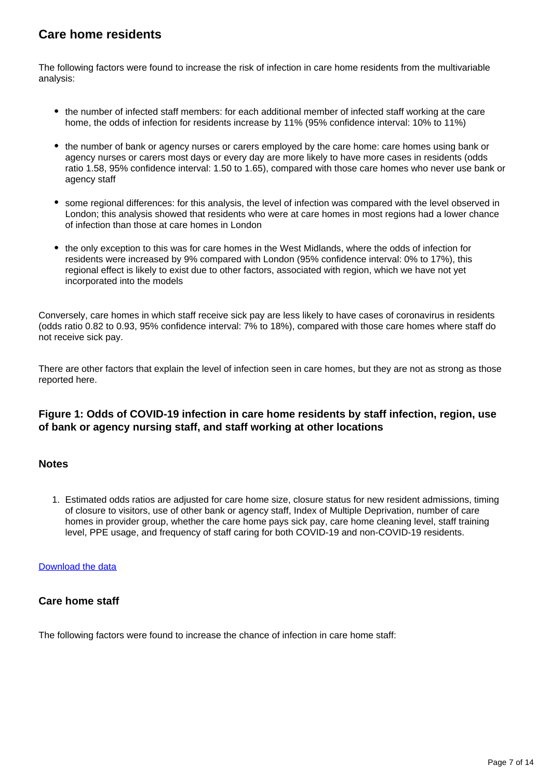## **Care home residents**

The following factors were found to increase the risk of infection in care home residents from the multivariable analysis:

- the number of infected staff members: for each additional member of infected staff working at the care home, the odds of infection for residents increase by 11% (95% confidence interval: 10% to 11%)
- the number of bank or agency nurses or carers employed by the care home: care homes using bank or agency nurses or carers most days or every day are more likely to have more cases in residents (odds ratio 1.58, 95% confidence interval: 1.50 to 1.65), compared with those care homes who never use bank or agency staff
- some regional differences: for this analysis, the level of infection was compared with the level observed in London; this analysis showed that residents who were at care homes in most regions had a lower chance of infection than those at care homes in London
- the only exception to this was for care homes in the West Midlands, where the odds of infection for residents were increased by 9% compared with London (95% confidence interval: 0% to 17%), this regional effect is likely to exist due to other factors, associated with region, which we have not yet incorporated into the models

Conversely, care homes in which staff receive sick pay are less likely to have cases of coronavirus in residents (odds ratio 0.82 to 0.93, 95% confidence interval: 7% to 18%), compared with those care homes where staff do not receive sick pay.

There are other factors that explain the level of infection seen in care homes, but they are not as strong as those reported here.

#### **Figure 1: Odds of COVID-19 infection in care home residents by staff infection, region, use of bank or agency nursing staff, and staff working at other locations**

#### **Notes**

1. Estimated odds ratios are adjusted for care home size, closure status for new resident admissions, timing of closure to visitors, use of other bank or agency staff, Index of Multiple Deprivation, number of care homes in provider group, whether the care home pays sick pay, care home cleaning level, staff training level, PPE usage, and frequency of staff caring for both COVID-19 and non-COVID-19 residents.

#### [Download the data](https://www.ons.gov.uk/visualisations/dvc884/residents/datadownload.xlsx)

#### **Care home staff**

The following factors were found to increase the chance of infection in care home staff: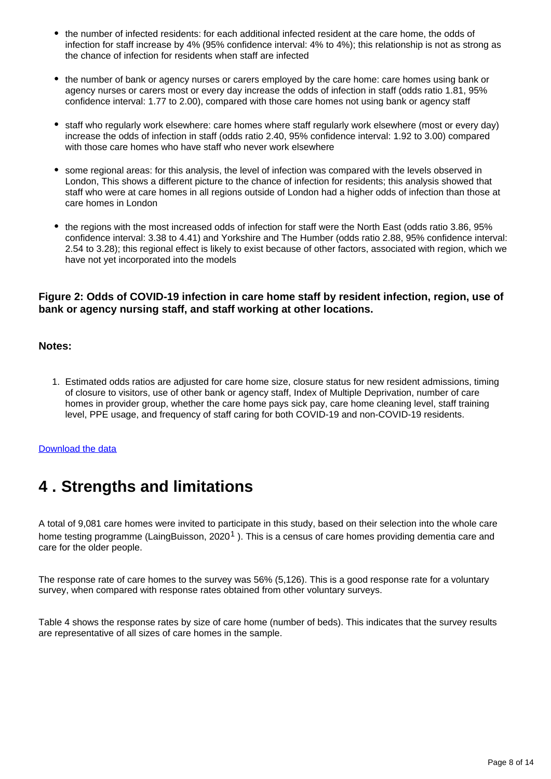- the number of infected residents: for each additional infected resident at the care home, the odds of infection for staff increase by 4% (95% confidence interval: 4% to 4%); this relationship is not as strong as the chance of infection for residents when staff are infected
- the number of bank or agency nurses or carers employed by the care home: care homes using bank or agency nurses or carers most or every day increase the odds of infection in staff (odds ratio 1.81, 95% confidence interval: 1.77 to 2.00), compared with those care homes not using bank or agency staff
- staff who regularly work elsewhere: care homes where staff regularly work elsewhere (most or every day) increase the odds of infection in staff (odds ratio 2.40, 95% confidence interval: 1.92 to 3.00) compared with those care homes who have staff who never work elsewhere
- some regional areas: for this analysis, the level of infection was compared with the levels observed in London, This shows a different picture to the chance of infection for residents; this analysis showed that staff who were at care homes in all regions outside of London had a higher odds of infection than those at care homes in London
- the regions with the most increased odds of infection for staff were the North East (odds ratio 3.86, 95% confidence interval: 3.38 to 4.41) and Yorkshire and The Humber (odds ratio 2.88, 95% confidence interval: 2.54 to 3.28); this regional effect is likely to exist because of other factors, associated with region, which we have not yet incorporated into the models

#### **Figure 2: Odds of COVID-19 infection in care home staff by resident infection, region, use of bank or agency nursing staff, and staff working at other locations.**

#### **Notes:**

1. Estimated odds ratios are adjusted for care home size, closure status for new resident admissions, timing of closure to visitors, use of other bank or agency staff, Index of Multiple Deprivation, number of care homes in provider group, whether the care home pays sick pay, care home cleaning level, staff training level, PPE usage, and frequency of staff caring for both COVID-19 and non-COVID-19 residents.

#### [Download the data](https://www.ons.gov.uk/visualisations/dvc884/staff/datadownload.xlsx)

## <span id="page-7-0"></span>**4 . Strengths and limitations**

A total of 9,081 care homes were invited to participate in this study, based on their selection into the whole care home testing programme (LaingBuisson, 2020<sup>1</sup>). This is a census of care homes providing dementia care and care for the older people.

The response rate of care homes to the survey was 56% (5,126). This is a good response rate for a voluntary survey, when compared with response rates obtained from other voluntary surveys.

Table 4 shows the response rates by size of care home (number of beds). This indicates that the survey results are representative of all sizes of care homes in the sample.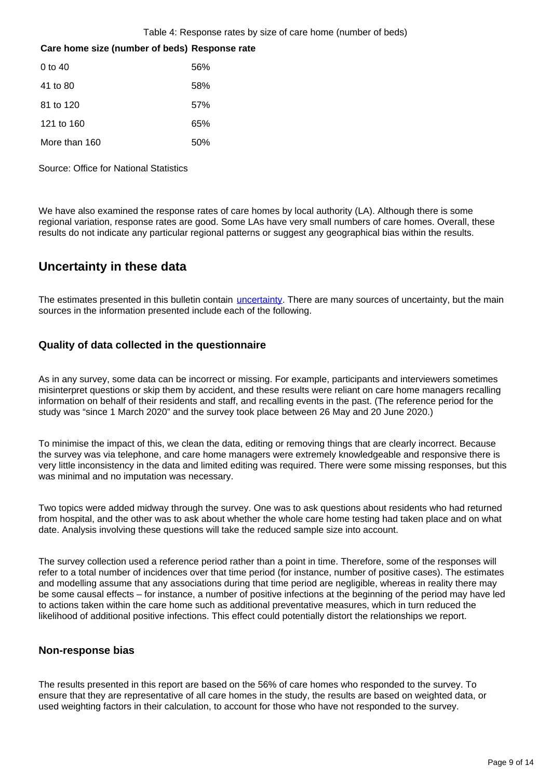Table 4: Response rates by size of care home (number of beds)

#### **Care home size (number of beds) Response rate**

| 0 to 40       | 56% |
|---------------|-----|
| 41 to 80      | 58% |
| 81 to 120     | 57% |
| 121 to 160    | 65% |
| More than 160 | 50% |

Source: Office for National Statistics

We have also examined the response rates of care homes by local authority (LA). Although there is some regional variation, response rates are good. Some LAs have very small numbers of care homes. Overall, these results do not indicate any particular regional patterns or suggest any geographical bias within the results.

### **Uncertainty in these data**

The estimates presented in this bulletin contain *[uncertainty](https://www.ons.gov.uk/methodology/methodologytopicsandstatisticalconcepts/uncertaintyandhowwemeasureit)*. There are many sources of uncertainty, but the main sources in the information presented include each of the following.

#### **Quality of data collected in the questionnaire**

As in any survey, some data can be incorrect or missing. For example, participants and interviewers sometimes misinterpret questions or skip them by accident, and these results were reliant on care home managers recalling information on behalf of their residents and staff, and recalling events in the past. (The reference period for the study was "since 1 March 2020" and the survey took place between 26 May and 20 June 2020.)

To minimise the impact of this, we clean the data, editing or removing things that are clearly incorrect. Because the survey was via telephone, and care home managers were extremely knowledgeable and responsive there is very little inconsistency in the data and limited editing was required. There were some missing responses, but this was minimal and no imputation was necessary.

Two topics were added midway through the survey. One was to ask questions about residents who had returned from hospital, and the other was to ask about whether the whole care home testing had taken place and on what date. Analysis involving these questions will take the reduced sample size into account.

The survey collection used a reference period rather than a point in time. Therefore, some of the responses will refer to a total number of incidences over that time period (for instance, number of positive cases). The estimates and modelling assume that any associations during that time period are negligible, whereas in reality there may be some causal effects – for instance, a number of positive infections at the beginning of the period may have led to actions taken within the care home such as additional preventative measures, which in turn reduced the likelihood of additional positive infections. This effect could potentially distort the relationships we report.

#### **Non-response bias**

The results presented in this report are based on the 56% of care homes who responded to the survey. To ensure that they are representative of all care homes in the study, the results are based on weighted data, or used weighting factors in their calculation, to account for those who have not responded to the survey.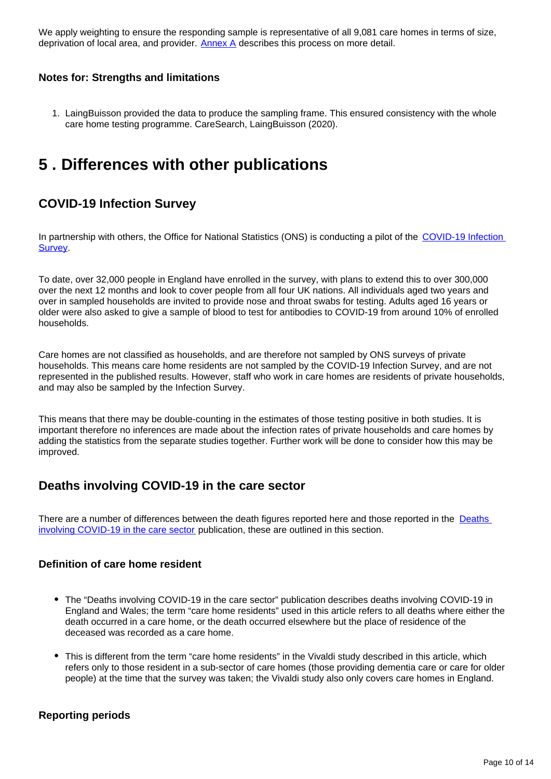We apply weighting to ensure the responding sample is representative of all 9,081 care homes in terms of size, deprivation of local area, and provider.  $\Delta n$  describes this process on more detail.

#### **Notes for: Strengths and limitations**

1. LaingBuisson provided the data to produce the sampling frame. This ensured consistency with the whole care home testing programme. CareSearch, LaingBuisson (2020).

## <span id="page-9-0"></span>**5 . Differences with other publications**

### **COVID-19 Infection Survey**

In partnership with others, the Office for National Statistics (ONS) is conducting a pilot of the COVID-19 Infection **[Survey](https://www.ons.gov.uk/peoplepopulationandcommunity/healthandsocialcare/conditionsanddiseases/bulletins/coronaviruscovid19infectionsurveypilot/latest)**.

To date, over 32,000 people in England have enrolled in the survey, with plans to extend this to over 300,000 over the next 12 months and look to cover people from all four UK nations. All individuals aged two years and over in sampled households are invited to provide nose and throat swabs for testing. Adults aged 16 years or older were also asked to give a sample of blood to test for antibodies to COVID-19 from around 10% of enrolled households.

Care homes are not classified as households, and are therefore not sampled by ONS surveys of private households. This means care home residents are not sampled by the COVID-19 Infection Survey, and are not represented in the published results. However, staff who work in care homes are residents of private households, and may also be sampled by the Infection Survey.

This means that there may be double-counting in the estimates of those testing positive in both studies. It is important therefore no inferences are made about the infection rates of private households and care homes by adding the statistics from the separate studies together. Further work will be done to consider how this may be improved.

### **Deaths involving COVID-19 in the care sector**

There are a number of differences between the death figures reported here and those reported in the Deaths [involving COVID-19 in the care sector](https://www.ons.gov.uk/peoplepopulationandcommunity/birthsdeathsandmarriages/deaths/articles/deathsinvolvingcovid19inthecaresectorenglandandwales/deathsoccurringupto1may2020andregisteredupto9may2020provisional) publication, these are outlined in this section.

#### **Definition of care home resident**

- The "Deaths involving COVID-19 in the care sector" publication describes deaths involving COVID-19 in England and Wales; the term "care home residents" used in this article refers to all deaths where either the death occurred in a care home, or the death occurred elsewhere but the place of residence of the deceased was recorded as a care home.
- This is different from the term "care home residents" in the Vivaldi study described in this article, which refers only to those resident in a sub-sector of care homes (those providing dementia care or care for older people) at the time that the survey was taken; the Vivaldi study also only covers care homes in England.

#### **Reporting periods**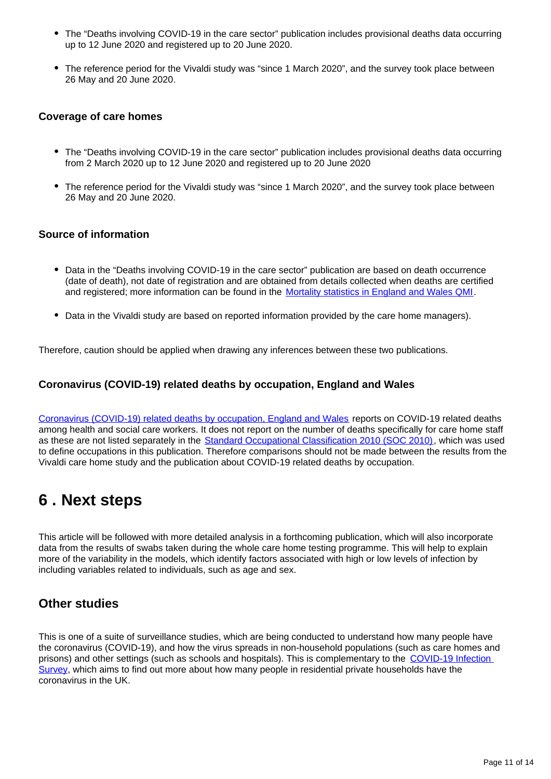- The "Deaths involving COVID-19 in the care sector" publication includes provisional deaths data occurring up to 12 June 2020 and registered up to 20 June 2020.
- The reference period for the Vivaldi study was "since 1 March 2020", and the survey took place between 26 May and 20 June 2020.

#### **Coverage of care homes**

- The "Deaths involving COVID-19 in the care sector" publication includes provisional deaths data occurring from 2 March 2020 up to 12 June 2020 and registered up to 20 June 2020
- The reference period for the Vivaldi study was "since 1 March 2020", and the survey took place between 26 May and 20 June 2020.

#### **Source of information**

- Data in the "Deaths involving COVID-19 in the care sector" publication are based on death occurrence (date of death), not date of registration and are obtained from details collected when deaths are certified and registered; more information can be found in the [Mortality statistics in England and Wales QMI.](https://www.ons.gov.uk/peoplepopulationandcommunity/birthsdeathsandmarriages/deaths/bulletins/deathsregisteredweeklyinenglandandwalesprovisional/latest#measuring-the-data)
- Data in the Vivaldi study are based on reported information provided by the care home managers).

Therefore, caution should be applied when drawing any inferences between these two publications.

#### **Coronavirus (COVID-19) related deaths by occupation, England and Wales**

[Coronavirus \(COVID-19\) related deaths by occupation, England and Wales](https://www.ons.gov.uk/peoplepopulationandcommunity/healthandsocialcare/causesofdeath/bulletins/coronaviruscovid19relateddeathsbyoccupationenglandandwales/deathsregisteredbetween9marchand25may2020) reports on COVID-19 related deaths among health and social care workers. It does not report on the number of deaths specifically for care home staff as these are not listed separately in the [Standard Occupational Classification 2010 \(SOC 2010\),](https://www.ons.gov.uk/methodology/classificationsandstandards/standardoccupationalclassificationsoc/soc2010/soc2010volume1structureanddescriptionsofunitgroups) which was used to define occupations in this publication. Therefore comparisons should not be made between the results from the Vivaldi care home study and the publication about COVID-19 related deaths by occupation.

## <span id="page-10-0"></span>**6 . Next steps**

This article will be followed with more detailed analysis in a forthcoming publication, which will also incorporate data from the results of swabs taken during the whole care home testing programme. This will help to explain more of the variability in the models, which identify factors associated with high or low levels of infection by including variables related to individuals, such as age and sex.

### **Other studies**

This is one of a suite of surveillance studies, which are being conducted to understand how many people have the coronavirus (COVID-19), and how the virus spreads in non-household populations (such as care homes and prisons) and other settings (such as schools and hospitals). This is complementary to the [COVID-19 Infection](https://www.ons.gov.uk/peoplepopulationandcommunity/healthandsocialcare/conditionsanddiseases/bulletins/coronaviruscovid19infectionsurveypilot/latest)  [Survey](https://www.ons.gov.uk/peoplepopulationandcommunity/healthandsocialcare/conditionsanddiseases/bulletins/coronaviruscovid19infectionsurveypilot/latest), which aims to find out more about how many people in residential private households have the coronavirus in the UK.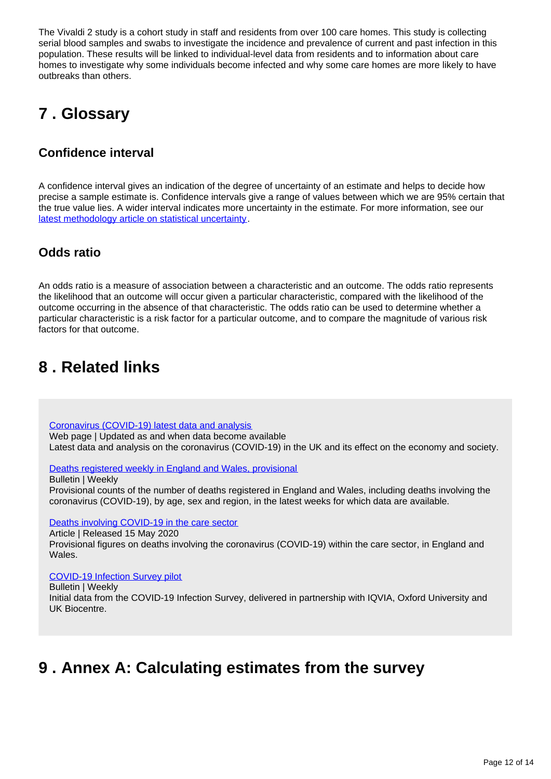The Vivaldi 2 study is a cohort study in staff and residents from over 100 care homes. This study is collecting serial blood samples and swabs to investigate the incidence and prevalence of current and past infection in this population. These results will be linked to individual-level data from residents and to information about care homes to investigate why some individuals become infected and why some care homes are more likely to have outbreaks than others.

## <span id="page-11-0"></span>**7 . Glossary**

## **Confidence interval**

A confidence interval gives an indication of the degree of uncertainty of an estimate and helps to decide how precise a sample estimate is. Confidence intervals give a range of values between which we are 95% certain that the true value lies. A wider interval indicates more uncertainty in the estimate. For more information, see our [latest methodology article on statistical uncertainty](https://www.ons.gov.uk/methodology/methodologytopicsandstatisticalconcepts/uncertaintyandhowwemeasureit).

### **Odds ratio**

An odds ratio is a measure of association between a characteristic and an outcome. The odds ratio represents the likelihood that an outcome will occur given a particular characteristic, compared with the likelihood of the outcome occurring in the absence of that characteristic. The odds ratio can be used to determine whether a particular characteristic is a risk factor for a particular outcome, and to compare the magnitude of various risk factors for that outcome.

## <span id="page-11-1"></span>**8 . Related links**

[Coronavirus \(COVID-19\) latest data and analysis](https://www.ons.gov.uk/peoplepopulationandcommunity/healthandsocialcare/conditionsanddiseases/bulletins/coronaviruscovid19infectionsurveypilot/latest)

Web page | Updated as and when data become available Latest data and analysis on the coronavirus (COVID-19) in the UK and its effect on the economy and society.

[Deaths registered weekly in England and Wales, provisional](https://www.ons.gov.uk/peoplepopulationandcommunity/birthsdeathsandmarriages/deaths/bulletins/deathsregisteredweeklyinenglandandwalesprovisional/latest)

Bulletin | Weekly

Provisional counts of the number of deaths registered in England and Wales, including deaths involving the coronavirus (COVID-19), by age, sex and region, in the latest weeks for which data are available.

[Deaths involving COVID-19 in the care sector](https://www.ons.gov.uk/peoplepopulationandcommunity/birthsdeathsandmarriages/deaths/articles/deathsinvolvingcovid19inthecaresectorenglandandwales/deathsoccurringupto1may2020andregisteredupto9may2020provisional)

Article | Released 15 May 2020

Provisional figures on deaths involving the coronavirus (COVID-19) within the care sector, in England and Wales.

#### [COVID-19 Infection Survey pilot](https://www.ons.gov.uk/peoplepopulationandcommunity/healthandsocialcare/conditionsanddiseases/bulletins/coronaviruscovid19infectionsurveypilot/latest)

Bulletin | Weekly

Initial data from the COVID-19 Infection Survey, delivered in partnership with IQVIA, Oxford University and UK Biocentre.

## <span id="page-11-2"></span>**9 . Annex A: Calculating estimates from the survey**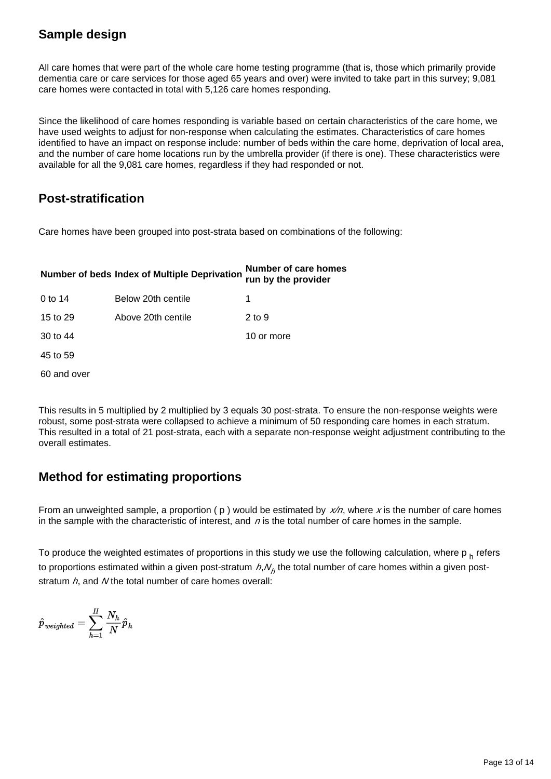## **Sample design**

All care homes that were part of the whole care home testing programme (that is, those which primarily provide dementia care or care services for those aged 65 years and over) were invited to take part in this survey; 9,081 care homes were contacted in total with 5,126 care homes responding.

Since the likelihood of care homes responding is variable based on certain characteristics of the care home, we have used weights to adjust for non-response when calculating the estimates. Characteristics of care homes identified to have an impact on response include: number of beds within the care home, deprivation of local area, and the number of care home locations run by the umbrella provider (if there is one). These characteristics were available for all the 9,081 care homes, regardless if they had responded or not.

## **Post-stratification**

Care homes have been grouped into post-strata based on combinations of the following:

# **Number of beds Index of Multiple Deprivation Number of care homes run by the provider**

| 0 to 14     | Below 20th centile |            |
|-------------|--------------------|------------|
| 15 to 29    | Above 20th centile | 2 to 9     |
| 30 to 44    |                    | 10 or more |
| 45 to 59    |                    |            |
| 60 and over |                    |            |

This results in 5 multiplied by 2 multiplied by 3 equals 30 post-strata. To ensure the non-response weights were robust, some post-strata were collapsed to achieve a minimum of 50 responding care homes in each stratum. This resulted in a total of 21 post-strata, each with a separate non-response weight adjustment contributing to the overall estimates.

## **Method for estimating proportions**

From an unweighted sample, a proportion ( $p$ ) would be estimated by  $x/n$ , where x is the number of care homes in the sample with the characteristic of interest, and  $n$  is the total number of care homes in the sample.

To produce the weighted estimates of proportions in this study we use the following calculation, where  $p_h$  refers to proportions estimated within a given post-stratum  $h, N_h$  the total number of care homes within a given poststratum  $h$ , and N the total number of care homes overall:

$$
\hat{p}_\textit{weighted} = \sum_{h=1}^H \frac{N_h}{N} \hat{p}_h
$$